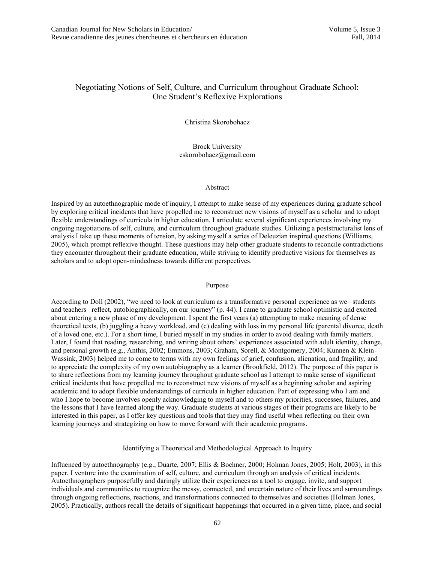# Negotiating Notions of Self, Culture, and Curriculum throughout Graduate School: One Student's Reflexive Explorations

Christina Skorobohacz

Brock University cskorobohacz@gmail.com

## Abstract

Inspired by an autoethnographic mode of inquiry, I attempt to make sense of my experiences during graduate school by exploring critical incidents that have propelled me to reconstruct new visions of myself as a scholar and to adopt flexible understandings of curricula in higher education. I articulate several significant experiences involving my ongoing negotiations of self, culture, and curriculum throughout graduate studies. Utilizing a poststructuralist lens of analysis I take up these moments of tension, by asking myself a series of Deleuzian inspired questions (Williams, 2005), which prompt reflexive thought. These questions may help other graduate students to reconcile contradictions they encounter throughout their graduate education, while striving to identify productive visions for themselves as scholars and to adopt open-mindedness towards different perspectives.

## Purpose

According to Doll  $(2002)$ , "we need to look at curriculum as a transformative personal experience as we students and teachers— reflect, autobiographically, on our journey" (p. 44). I came to graduate school optimistic and excited about entering a new phase of my development. I spent the first years (a) attempting to make meaning of dense theoretical texts, (b) juggling a heavy workload, and (c) dealing with loss in my personal life (parental divorce, death of a loved one, etc.). For a short time, I buried myself in my studies in order to avoid dealing with family matters. Later, I found that reading, researching, and writing about others' experiences associated with adult identity, change, and personal growth (e.g., Anthis, 2002; Emmons, 2003; Graham, Sorell, & Montgomery, 2004; Kunnen & Klein-Wassink, 2003) helped me to come to terms with my own feelings of grief, confusion, alienation, and fragility, and to appreciate the complexity of my own autobiography as a learner (Brookfield, 2012). The purpose of this paper is to share reflections from my learning journey throughout graduate school as I attempt to make sense of significant critical incidents that have propelled me to reconstruct new visions of myself as a beginning scholar and aspiring academic and to adopt flexible understandings of curricula in higher education. Part of expressing who I am and who I hope to become involves openly acknowledging to myself and to others my priorities, successes, failures, and the lessons that I have learned along the way. Graduate students at various stages of their programs are likely to be interested in this paper, as I offer key questions and tools that they may find useful when reflecting on their own learning journeys and strategizing on how to move forward with their academic programs.

Identifying a Theoretical and Methodological Approach to Inquiry

Influenced by autoethnography (e.g., Duarte, 2007; Ellis & Bochner, 2000; Holman Jones, 2005; Holt, 2003), in this paper, I venture into the examination of self, culture, and curriculum through an analysis of critical incidents. Autoethnographers purposefully and daringly utilize their experiences as a tool to engage, invite, and support individuals and communities to recognize the messy, connected, and uncertain nature of their lives and surroundings through ongoing reflections, reactions, and transformations connected to themselves and societies (Holman Jones, 2005). Practically, authors recall the details of significant happenings that occurred in a given time, place, and social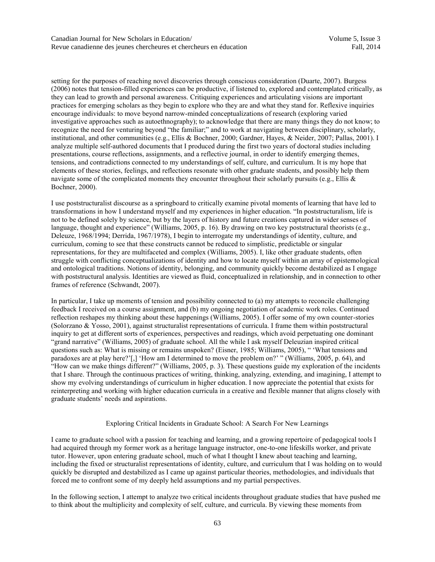setting for the purposes of reaching novel discoveries through conscious consideration (Duarte, 2007). Burgess (2006) notes that tension-filled experiences can be productive, if listened to, explored and contemplated critically, as they can lead to growth and personal awareness. Critiquing experiences and articulating visions are important practices for emerging scholars as they begin to explore who they are and what they stand for. Reflexive inquiries encourage individuals: to move beyond narrow-minded conceptualizations of research (exploring varied investigative approaches such as autoethnography); to acknowledge that there are many things they do not know; to recognize the need for venturing beyond "the familiar;" and to work at navigating between disciplinary, scholarly, institutional, and other communities (e.g., Ellis & Bochner, 2000; Gardner, Hayes, & Neider, 2007; Pallas, 2001). I analyze multiple self-authored documents that I produced during the first two years of doctoral studies including presentations, course reflections, assignments, and a reflective journal, in order to identify emerging themes, tensions, and contradictions connected to my understandings of self, culture, and curriculum. It is my hope that elements of these stories, feelings, and reflections resonate with other graduate students, and possibly help them navigate some of the complicated moments they encounter throughout their scholarly pursuits (e.g., Ellis  $\&$ Bochner, 2000).

I use poststructuralist discourse as a springboard to critically examine pivotal moments of learning that have led to transformations in how I understand myself and my experiences in higher education. "In poststructuralism, life is not to be defined solely by science, but by the layers of history and future creations captured in wider senses of language, thought and experience" (Williams, 2005, p. 16). By drawing on two key poststructural theorists (e.g., Deleuze, 1968/1994; Derrida, 1967/1978), I begin to interrogate my understandings of identity, culture, and curriculum, coming to see that these constructs cannot be reduced to simplistic, predictable or singular representations, for they are multifaceted and complex (Williams, 2005). I, like other graduate students, often struggle with conflicting conceptualizations of identity and how to locate myself within an array of epistemological and ontological traditions. Notions of identity, belonging, and community quickly become destabilized as I engage with poststructural analysis. Identities are viewed as fluid, conceptualized in relationship, and in connection to other frames of reference (Schwandt, 2007).

In particular, I take up moments of tension and possibility connected to (a) my attempts to reconcile challenging feedback I received on a course assignment, and (b) my ongoing negotiation of academic work roles. Continued reflection reshapes my thinking about these happenings (Williams, 2005). I offer some of my own counter-stories (Solorzano & Yosso, 2001), against structuralist representations of curricula. I frame them within poststructural inquiry to get at different sorts of experiences, perspectives and readings, which avoid perpetuating one dominant "grand narrative" (Williams, 2005) of graduate school. All the while I ask myself Deleuzian inspired critical questions such as: What is missing or remains unspoken? (Eisner, 1985; Williams, 2005), " 'What tensions and paradoxes are at play here?'[,] 'How am I determined to move the problem on?' " (Williams, 2005, p. 64), and "How can we make things different?" (Williams, 2005, p. 3). These questions guide my exploration of the incidents that I share. Through the continuous practices of writing, thinking, analyzing, extending, and imagining, I attempt to show my evolving understandings of curriculum in higher education. I now appreciate the potential that exists for reinterpreting and working with higher education curricula in a creative and flexible manner that aligns closely with graduate students' needs and aspirations.

## Exploring Critical Incidents in Graduate School: A Search For New Learnings

I came to graduate school with a passion for teaching and learning, and a growing repertoire of pedagogical tools I had acquired through my former work as a heritage language instructor, one-to-one lifeskills worker, and private tutor. However, upon entering graduate school, much of what I thought I knew about teaching and learning, including the fixed or structuralist representations of identity, culture, and curriculum that I was holding on to would quickly be disrupted and destabilized as I came up against particular theories, methodologies, and individuals that forced me to confront some of my deeply held assumptions and my partial perspectives.

In the following section, I attempt to analyze two critical incidents throughout graduate studies that have pushed me to think about the multiplicity and complexity of self, culture, and curricula. By viewing these moments from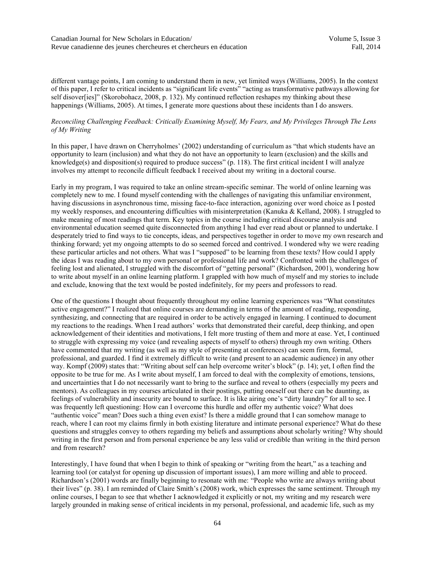different vantage points, I am coming to understand them in new, yet limited ways (Williams, 2005). In the context of this paper, I refer to critical incidents as "significant life events" "acting as transformative pathways allowing for self disover[ies]" (Skorobohacz, 2008, p. 132). My continued reflection reshapes my thinking about these happenings (Williams, 2005). At times, I generate more questions about these incidents than I do answers.

## *Reconciling Challenging Feedback: Critically Examining Myself, My Fears, and My Privileges Through The Lens of My Writing*

In this paper, I have drawn on Cherryholmes' (2002) understanding of curriculum as "that which students have an opportunity to learn (inclusion) and what they do not have an opportunity to learn (exclusion) and the skills and knowledge(s) and disposition(s) required to produce success" (p. 118). The first critical incident I will analyze involves my attempt to reconcile difficult feedback I received about my writing in a doctoral course.

Early in my program, I was required to take an online stream-specific seminar. The world of online learning was completely new to me. I found myself contending with the challenges of navigating this unfamiliar environment, having discussions in asynchronous time, missing face-to-face interaction, agonizing over word choice as I posted my weekly responses, and encountering difficulties with misinterpretation (Kanuka  $\&$  Kelland, 2008). I struggled to make meaning of most readings that term. Key topics in the course including critical discourse analysis and environmental education seemed quite disconnected from anything I had ever read about or planned to undertake. I desperately tried to find ways to tie concepts, ideas, and perspectives together in order to move my own research and thinking forward; yet my ongoing attempts to do so seemed forced and contrived. I wondered why we were reading these particular articles and not others. What was I "supposed" to be learning from these texts? How could I apply the ideas I was reading about to my own personal or professional life and work? Confronted with the challenges of feeling lost and alienated, I struggled with the discomfort of "getting personal" (Richardson, 2001), wondering how to write about myself in an online learning platform. I grappled with how much of myself and my stories to include and exclude, knowing that the text would be posted indefinitely, for my peers and professors to read.

One of the questions I thought about frequently throughout my online learning experiences was "What constitutes active engagement?" I realized that online courses are demanding in terms of the amount of reading, responding, synthesizing, and connecting that are required in order to be actively engaged in learning. I continued to document my reactions to the readings. When I read authors' works that demonstrated their careful, deep thinking, and open acknowledgement of their identities and motivations, I felt more trusting of them and more at ease. Yet, I continued to struggle with expressing my voice (and revealing aspects of myself to others) through my own writing. Others have commented that my writing (as well as my style of presenting at conferences) can seem firm, formal, professional, and guarded. I find it extremely difficult to write (and present to an academic audience) in any other way. Kompf (2009) states that: "Writing about self can help overcome writer's block" (p. 14); yet, I often find the opposite to be true for me. As I write about myself, I am forced to deal with the complexity of emotions, tensions, and uncertainties that I do not necessarily want to bring to the surface and reveal to others (especially my peers and mentors). As colleagues in my courses articulated in their postings, putting oneself out there can be daunting, as feelings of vulnerability and insecurity are bound to surface. It is like airing one's "dirty laundry" for all to see. I was frequently left questioning: How can I overcome this hurdle and offer my authentic voice? What does "authentic voice" mean? Does such a thing even exist? Is there a middle ground that I can somehow manage to reach, where I can root my claims firmly in both existing literature and intimate personal experience? What do these questions and struggles convey to others regarding my beliefs and assumptions about scholarly writing? Why should writing in the first person and from personal experience be any less valid or credible than writing in the third person and from research?

Interestingly, I have found that when I begin to think of speaking or "writing from the heart," as a teaching and learning tool (or catalyst for opening up discussion of important issues), I am more willing and able to proceed. Richardson's (2001) words are finally beginning to resonate with me: "People who write are always writing about their lives" (p. 38). I am reminded of Claire Smith's (2008) work, which expresses the same sentiment. Through my online courses, I began to see that whether I acknowledged it explicitly or not, my writing and my research were largely grounded in making sense of critical incidents in my personal, professional, and academic life, such as my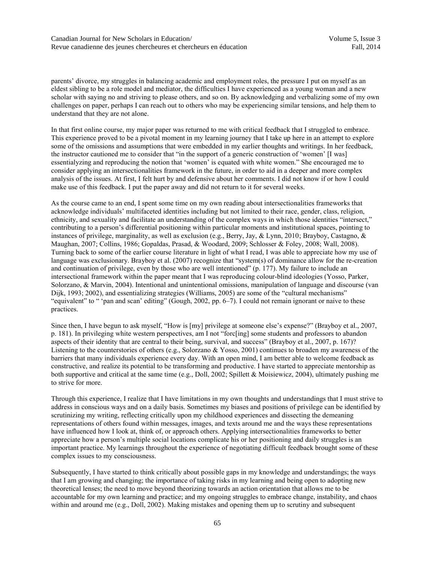Canadian Journal for New Scholars in Education/ Volume 5, Issue 3 Revue canadienne des jeunes chercheures et chercheurs en éducation Fall, 2014

parents' divorce, my struggles in balancing academic and employment roles, the pressure I put on myself as an eldest sibling to be a role model and mediator, the difficulties I have experienced as a young woman and a new scholar with saying no and striving to please others, and so on. By acknowledging and verbalizing some of my own challenges on paper, perhaps I can reach out to others who may be experiencing similar tensions, and help them to understand that they are not alone.

In that first online course, my major paper was returned to me with critical feedback that I struggled to embrace. This experience proved to be a pivotal moment in my learning journey that I take up here in an attempt to explore some of the omissions and assumptions that were embedded in my earlier thoughts and writings. In her feedback, the instructor cautioned me to consider that "in the support of a generic construction of 'women' [I was] essentialyzing and reproducing the notion that 'women' is equated with white women." She encouraged me to consider applying an intersectionalities framework in the future, in order to aid in a deeper and more complex analysis of the issues. At first, I felt hurt by and defensive about her comments. I did not know if or how I could make use of this feedback. I put the paper away and did not return to it for several weeks.

As the course came to an end, I spent some time on my own reading about intersectionalities frameworks that acknowledge individuals' multifaceted identities including but not limited to their race, gender, class, religion, ethnicity, and sexuality and facilitate an understanding of the complex ways in which those identities "intersect," contributing to a person's differential positioning within particular moments and institutional spaces, pointing to instances of privilege, marginality, as well as exclusion (e.g., Berry, Jay, & Lynn, 2010; Brayboy, Castagno, & Maughan, 2007; Collins, 1986; Gopaldas, Prasad, & Woodard, 2009; Schlosser & Foley, 2008; Wall, 2008). Turning back to some of the earlier course literature in light of what I read, I was able to appreciate how my use of language was exclusionary. Brayboy et al. (2007) recognize that "system(s) of dominance allow for the re-creation and continuation of privilege, even by those who are well intentioned" (p. 177). My failure to include an intersectional framework within the paper meant that I was reproducing colour-blind ideologies (Yosso, Parker, Solorzano, & Marvin, 2004). Intentional and unintentional omissions, manipulation of language and discourse (van Dijk, 1993; 2002), and essentializing strategies (Williams, 2005) are some of the "cultural mechanisms" "equivalent" to " 'pan and scan' editing" (Gough, 2002, pp. 6–7). I could not remain ignorant or naive to these practices.

Since then, I have begun to ask myself, "How is [my] privilege at someone else's expense?" (Brayboy et al., 2007, p. 181). In privileging white western perspectives, am I not "forc[ing] some students and professors to abandon aspects of their identity that are central to their being, survival, and success" (Brayboy et al., 2007, p. 167)? Listening to the counterstories of others (e.g., Solorzano & Yosso, 2001) continues to broaden my awareness of the barriers that many individuals experience every day. With an open mind, I am better able to welcome feedback as constructive, and realize its potential to be transforming and productive. I have started to appreciate mentorship as both supportive and critical at the same time (e.g., Doll, 2002; Spillett & Moisiewicz, 2004), ultimately pushing me to strive for more.

Through this experience, I realize that I have limitations in my own thoughts and understandings that I must strive to address in conscious ways and on a daily basis. Sometimes my biases and positions of privilege can be identified by scrutinizing my writing, reflecting critically upon my childhood experiences and dissecting the demeaning representations of others found within messages, images, and texts around me and the ways these representations have influenced how I look at, think of, or approach others. Applying intersectionalities frameworks to better appreciate how a person's multiple social locations complicate his or her positioning and daily struggles is an important practice. My learnings throughout the experience of negotiating difficult feedback brought some of these complex issues to my consciousness.

Subsequently, I have started to think critically about possible gaps in my knowledge and understandings; the ways that I am growing and changing; the importance of taking risks in my learning and being open to adopting new theoretical lenses; the need to move beyond theorizing towards an action orientation that allows me to be accountable for my own learning and practice; and my ongoing struggles to embrace change, instability, and chaos within and around me (e.g., Doll, 2002). Making mistakes and opening them up to scrutiny and subsequent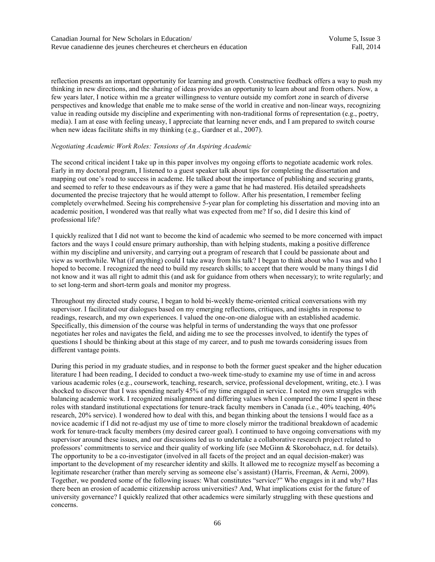reflection presents an important opportunity for learning and growth. Constructive feedback offers a way to push my thinking in new directions, and the sharing of ideas provides an opportunity to learn about and from others. Now, a few years later, I notice within me a greater willingness to venture outside my comfort zone in search of diverse perspectives and knowledge that enable me to make sense of the world in creative and non-linear ways, recognizing value in reading outside my discipline and experimenting with non-traditional forms of representation (e.g., poetry, media). I am at ease with feeling uneasy, I appreciate that learning never ends, and I am prepared to switch course when new ideas facilitate shifts in my thinking (e.g., Gardner et al., 2007).

## *Negotiating Academic Work Roles: Tensions of An Aspiring Academic*

The second critical incident I take up in this paper involves my ongoing efforts to negotiate academic work roles. Early in my doctoral program, I listened to a guest speaker talk about tips for completing the dissertation and mapping out one's road to success in academe. He talked about the importance of publishing and securing grants, and seemed to refer to these endeavours as if they were a game that he had mastered. His detailed spreadsheets documented the precise trajectory that he would attempt to follow. After his presentation, I remember feeling completely overwhelmed. Seeing his comprehensive 5-year plan for completing his dissertation and moving into an academic position, I wondered was that really what was expected from me? If so, did I desire this kind of professional life?

I quickly realized that I did not want to become the kind of academic who seemed to be more concerned with impact factors and the ways I could ensure primary authorship, than with helping students, making a positive difference within my discipline and university, and carrying out a program of research that I could be passionate about and view as worthwhile. What (if anything) could I take away from his talk? I began to think about who I was and who I hoped to become. I recognized the need to build my research skills; to accept that there would be many things I did not know and it was all right to admit this (and ask for guidance from others when necessary); to write regularly; and to set long-term and short-term goals and monitor my progress.

Throughout my directed study course, I began to hold bi-weekly theme-oriented critical conversations with my supervisor. I facilitated our dialogues based on my emerging reflections, critiques, and insights in response to readings, research, and my own experiences. I valued the one-on-one dialogue with an established academic. Specifically, this dimension of the course was helpful in terms of understanding the ways that one professor negotiates her roles and navigates the field, and aiding me to see the processes involved, to identify the types of questions I should be thinking about at this stage of my career, and to push me towards considering issues from different vantage points.

During this period in my graduate studies, and in response to both the former guest speaker and the higher education literature I had been reading, I decided to conduct a two-week time-study to examine my use of time in and across various academic roles (e.g., coursework, teaching, research, service, professional development, writing, etc.). I was shocked to discover that I was spending nearly 45% of my time engaged in service. I noted my own struggles with balancing academic work. I recognized misalignment and differing values when I compared the time I spent in these roles with standard institutional expectations for tenure-track faculty members in Canada (i.e., 40% teaching, 40% research, 20% service). I wondered how to deal with this, and began thinking about the tensions I would face as a novice academic if I did not re-adjust my use of time to more closely mirror the traditional breakdown of academic work for tenure-track faculty members (my desired career goal). I continued to have ongoing conversations with my supervisor around these issues, and our discussions led us to undertake a collaborative research project related to professors' commitments to service and their quality of working life (see McGinn & Skorobohacz, n.d. for details). The opportunity to be a co-investigator (involved in all facets of the project and an equal decision-maker) was important to the development of my researcher identity and skills. It allowed me to recognize myself as becoming a legitimate researcher (rather than merely serving as someone else's assistant) (Harris, Freeman, & Aerni, 2009). Together, we pondered some of the following issues: What constitutes "service?" Who engages in it and why? Has there been an erosion of academic citizenship across universities? And, What implications exist for the future of university governance? I quickly realized that other academics were similarly struggling with these questions and concerns.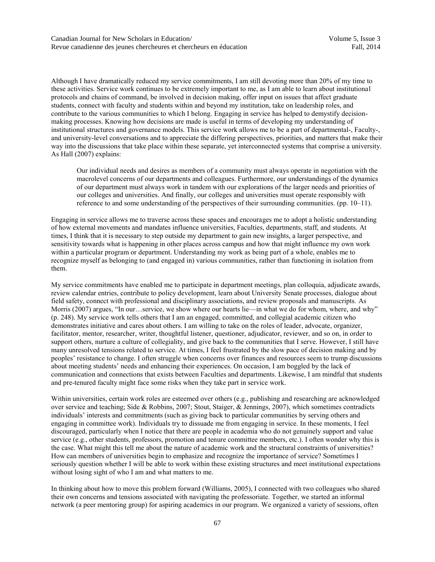Although I have dramatically reduced my service commitments, I am still devoting more than 20% of my time to these activities. Service work continues to be extremely important to me, as I am able to learn about institutional protocols and chains of command, be involved in decision making, offer input on issues that affect graduate students, connect with faculty and students within and beyond my institution, take on leadership roles, and contribute to the various communities to which I belong. Engaging in service has helped to demystify decisionmaking processes. Knowing how decisions are made is useful in terms of developing my understanding of institutional structures and governance models. This service work allows me to be a part of departmental-, Faculty-, and university-level conversations and to appreciate the differing perspectives, priorities, and matters that make their way into the discussions that take place within these separate, yet interconnected systems that comprise a university. As Hall (2007) explains:

Our individual needs and desires as members of a community must always operate in negotiation with the macrolevel concerns of our departments and colleagues. Furthermore, our understandings of the dynamics of our department must always work in tandem with our explorations of the larger needs and priorities of our colleges and universities. And finally, our colleges and universities must operate responsibly with reference to and some understanding of the perspectives of their surrounding communities. (pp. 10–11).

Engaging in service allows me to traverse across these spaces and encourages me to adopt a holistic understanding of how external movements and mandates influence universities, Faculties, departments, staff, and students. At times, I think that it is necessary to step outside my department to gain new insights, a larger perspective, and sensitivity towards what is happening in other places across campus and how that might influence my own work within a particular program or department. Understanding my work as being part of a whole, enables me to recognize myself as belonging to (and engaged in) various communities, rather than functioning in isolation from them.

My service commitments have enabled me to participate in department meetings, plan colloquia, adjudicate awards, review calendar entries, contribute to policy development, learn about University Senate processes, dialogue about field safety, connect with professional and disciplinary associations, and review proposals and manuscripts. As Morris (2007) argues, "In our...service, we show where our hearts lie—in what we do for whom, where, and why" (p. 248). My service work tells others that I am an engaged, committed, and collegial academic citizen who demonstrates initiative and cares about others. I am willing to take on the roles of leader, advocate, organizer, facilitator, mentor, researcher, writer, thoughtful listener, questioner, adjudicator, reviewer, and so on, in order to support others, nurture a culture of collegiality, and give back to the communities that I serve. However, I still have many unresolved tensions related to service. At times, I feel frustrated by the slow pace of decision making and by peoples' resistance to change. I often struggle when concerns over finances and resources seem to trump discussions about meeting students' needs and enhancing their experiences. On occasion, I am boggled by the lack of communication and connections that exists between Faculties and departments. Likewise, I am mindful that students and pre-tenured faculty might face some risks when they take part in service work.

Within universities, certain work roles are esteemed over others (e.g., publishing and researching are acknowledged over service and teaching; Side & Robbins, 2007; Stout, Staiger, & Jennings, 2007), which sometimes contradicts individuals' interests and commitments (such as giving back to particular communities by serving others and engaging in committee work). Individuals try to dissuade me from engaging in service. In these moments, I feel discouraged, particularly when I notice that there are people in academia who do not genuinely support and value service (e.g., other students, professors, promotion and tenure committee members, etc.). I often wonder why this is the case. What might this tell me about the nature of academic work and the structural constraints of universities? How can members of universities begin to emphasize and recognize the importance of service? Sometimes I seriously question whether I will be able to work within these existing structures and meet institutional expectations without losing sight of who I am and what matters to me.

In thinking about how to move this problem forward (Williams, 2005), I connected with two colleagues who shared their own concerns and tensions associated with navigating the professoriate. Together, we started an informal network (a peer mentoring group) for aspiring academics in our program. We organized a variety of sessions, often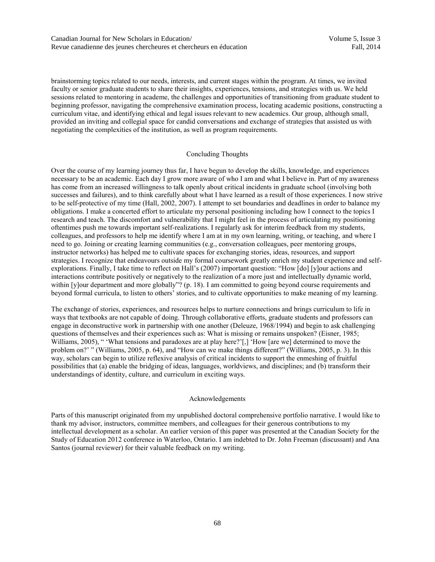brainstorming topics related to our needs, interests, and current stages within the program. At times, we invited faculty or senior graduate students to share their insights, experiences, tensions, and strategies with us. We held sessions related to mentoring in academe, the challenges and opportunities of transitioning from graduate student to beginning professor, navigating the comprehensive examination process, locating academic positions, constructing a curriculum vitae, and identifying ethical and legal issues relevant to new academics. Our group, although small, provided an inviting and collegial space for candid conversations and exchange of strategies that assisted us with negotiating the complexities of the institution, as well as program requirements.

## Concluding Thoughts

Over the course of my learning journey thus far, I have begun to develop the skills, knowledge, and experiences necessary to be an academic. Each day I grow more aware of who I am and what I believe in. Part of my awareness has come from an increased willingness to talk openly about critical incidents in graduate school (involving both successes and failures), and to think carefully about what I have learned as a result of those experiences. I now strive to be self-protective of my time (Hall, 2002, 2007). I attempt to set boundaries and deadlines in order to balance my obligations. I make a concerted effort to articulate my personal positioning including how I connect to the topics I research and teach. The discomfort and vulnerability that I might feel in the process of articulating my positioning oftentimes push me towards important self-realizations. I regularly ask for interim feedback from my students, colleagues, and professors to help me identify where I am at in my own learning, writing, or teaching, and where I need to go. Joining or creating learning communities (e.g., conversation colleagues, peer mentoring groups, instructor networks) has helped me to cultivate spaces for exchanging stories, ideas, resources, and support strategies. I recognize that endeavours outside my formal coursework greatly enrich my student experience and selfexplorations. Finally, I take time to reflect on Hall's (2007) important question: "How [do] [y]our actions and interactions contribute positively or negatively to the realization of a more just and intellectually dynamic world, within [y]our department and more globally"? (p. 18). I am committed to going beyond course requirements and beyond formal curricula, to listen to others' stories, and to cultivate opportunities to make meaning of my learning.

The exchange of stories, experiences, and resources helps to nurture connections and brings curriculum to life in ways that textbooks are not capable of doing. Through collaborative efforts, graduate students and professors can engage in deconstructive work in partnership with one another (Deleuze, 1968/1994) and begin to ask challenging questions of themselves and their experiences such as: What is missing or remains unspoken? (Eisner, 1985; Williams, 2005), " 'What tensions and paradoxes are at play here?'[,] 'How [are we] determined to move the problem on?' " (Williams, 2005, p. 64), and "How can we make things different?" (Williams, 2005, p. 3). In this way, scholars can begin to utilize reflexive analysis of critical incidents to support the enmeshing of fruitful possibilities that (a) enable the bridging of ideas, languages, worldviews, and disciplines; and (b) transform their understandings of identity, culture, and curriculum in exciting ways.

## Acknowledgements

Parts of this manuscript originated from my unpublished doctoral comprehensive portfolio narrative. I would like to thank my advisor, instructors, committee members, and colleagues for their generous contributions to my intellectual development as a scholar. An earlier version of this paper was presented at the Canadian Society for the Study of Education 2012 conference in Waterloo, Ontario. I am indebted to Dr. John Freeman (discussant) and Ana Santos (journal reviewer) for their valuable feedback on my writing.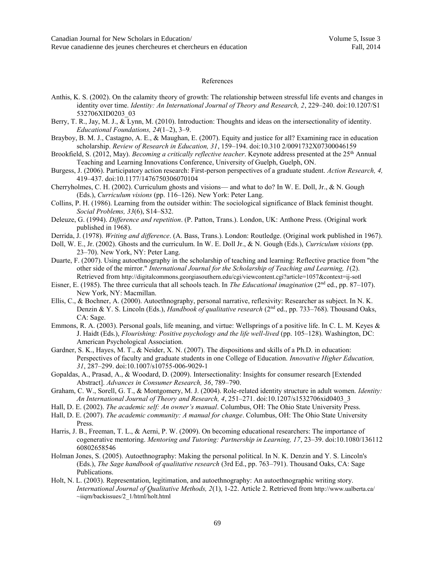#### References

- Anthis, K. S. (2002). On the calamity theory of growth: The relationship between stressful life events and changes in identity over time. *Identity: An International Journal of Theory and Research, 2*, 229–240. doi:10.1207/S1 532706XID0203\_03
- Berry, T. R., Jay, M. J., & Lynn, M. (2010). Introduction: Thoughts and ideas on the intersectionality of identity. *Educational Foundations, 24*(1–2), 3–9.
- Brayboy, B. M. J., Castagno, A. E., & Maughan, E. (2007). Equity and justice for all? Examining race in education scholarship. *Review of Research in Education, 31*, 159–194. doi:10.310 2/0091732X07300046159
- Brookfield, S. (2012, May). *Becoming a critically reflective teacher*. Keynote address presented at the 25<sup>th</sup> Annual Teaching and Learning Innovations Conference, University of Guelph, Guelph, ON.
- Burgess, J. (2006). Participatory action research: First-person perspectives of a graduate student. *Action Research, 4,* 419–437. doi:10.1177/1476750306070104
- Cherryholmes, C. H. (2002). Curriculum ghosts and visions— and what to do? In W. E. Doll, Jr., & N. Gough (Eds.), *Curriculum visions* (pp. 116–126). New York: Peter Lang.
- Collins, P. H. (1986). Learning from the outsider within: The sociological significance of Black feminist thought. *Social Problems, 33*(6), S14–S32.
- Deleuze, G. (1994). *Difference and repetition*. (P. Patton, Trans.). London, UK: Anthone Press. (Original work published in 1968).
- Derrida, J. (1978). *Writing and difference*. (A. Bass, Trans.). London: Routledge. (Original work published in 1967).
- Doll, W. E., Jr. (2002). Ghosts and the curriculum. In W. E. Doll Jr., & N. Gough (Eds.), *Curriculum visions* (pp. 23–70). New York, NY: Peter Lang.
- Duarte, F. (2007). Using autoethnography in the scholarship of teaching and learning: Reflective practice from "the other side of the mirror." *International Journal for the Scholarship of Teaching and Learning, 1*(2). Retrieved from http://digitalcommons.georgiasouthern.edu/cgi/viewcontent.cgi?article=1057&context=ij-sotl
- Eisner, E. (1985). The three curricula that all schools teach. In *The Educational imagination* (2nd ed., pp. 87–107). New York, NY: Macmillan.
- Ellis, C., & Bochner, A. (2000). Autoethnography, personal narrative, reflexivity: Researcher as subject. In N. K. Denzin & Y. S. Lincoln (Eds.), *Handbook of qualitative research* (2<sup>nd</sup> ed., pp. 733–768). Thousand Oaks, CA: Sage.
- Emmons, R. A. (2003). Personal goals, life meaning, and virtue: Wellsprings of a positive life. In C. L. M. Keyes & J. Haidt (Eds.), *Flourishing: Positive psychology and the life well-lived* (pp. 105–128). Washington, DC: American Psychological Association.
- Gardner, S. K., Hayes, M. T., & Neider, X. N. (2007). The dispositions and skills of a Ph.D. in education: Perspectives of faculty and graduate students in one College of Education. *Innovative Higher Education, 31*, 287–299. doi:10.1007/s10755-006-9029-1
- Gopaldas, A., Prasad, A., & Woodard, D. (2009). Intersectionality: Insights for consumer research [Extended Abstract]. *Advances in Consumer Research, 36*, 789–790.
- Graham, C. W., Sorell, G. T., & Montgomery, M. J. (2004). Role-related identity structure in adult women. *Identity: An International Journal of Theory and Research, 4*, 251–271. doi:10.1207/s1532706xid0403\_3
- Hall, D. E. (2002). *The academic self: An owner's manual*. Columbus, OH: The Ohio State University Press.
- Hall, D. E. (2007). *The academic community: A manual for change*. Columbus, OH: The Ohio State University Press.
- Harris, J. B., Freeman, T. L., & Aerni, P. W. (2009). On becoming educational researchers: The importance of cogenerative mentoring. *Mentoring and Tutoring: Partnership in Learning, 17*, 23–39. doi:10.1080/136112 60802658546
- Holman Jones, S. (2005). Autoethnography: Making the personal political. In N. K. Denzin and Y. S. Lincoln's (Eds.), *The Sage handbook of qualitative research* (3rd Ed., pp. 763–791). Thousand Oaks, CA: Sage Publications.
- Holt, N. L. (2003). Representation, legitimation, and autoethnography: An autoethnographic writing story. *International Journal of Qualitative Methods, 2*(1), 1-22. Article 2. Retrieved from http://www.ualberta.ca/ ~iiqm/backissues/2\_1/html/holt.html